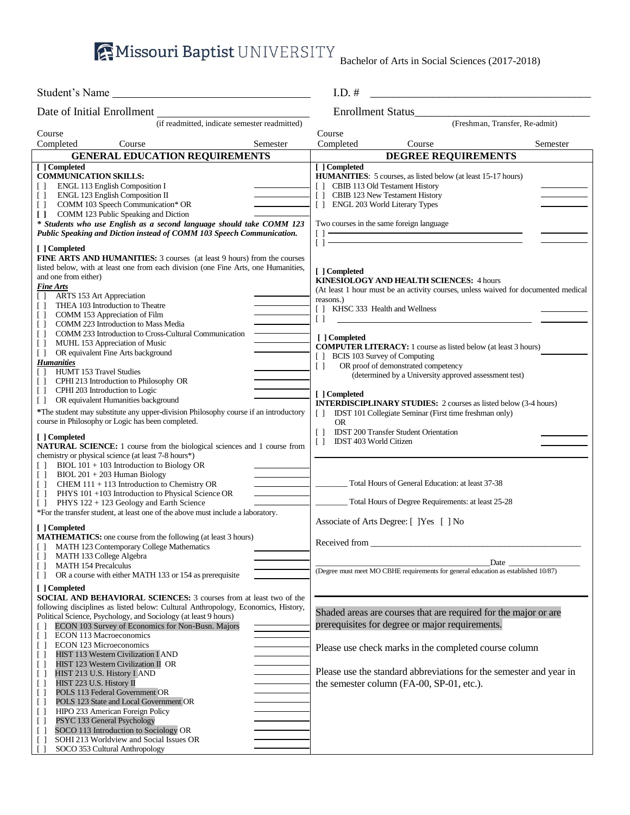**AMissouri Baptist** UNIVERSITY Bachelor of Arts in Social Sciences (2017-2018)

| Student's Name                                                                                                                                                                                                                                                                                                                                                                                                                                                                                                                                                                                                                                                                                                                                                                                                                                                                                                                                     | $I.D.$ #<br><u> 1989 - Johann John Stone, mars eta biztanleria (h. 1989).</u>                                                                                                                                                                                                                                                                                                                                                                                                                                                                                                                                                                                                                                                                            |  |  |
|----------------------------------------------------------------------------------------------------------------------------------------------------------------------------------------------------------------------------------------------------------------------------------------------------------------------------------------------------------------------------------------------------------------------------------------------------------------------------------------------------------------------------------------------------------------------------------------------------------------------------------------------------------------------------------------------------------------------------------------------------------------------------------------------------------------------------------------------------------------------------------------------------------------------------------------------------|----------------------------------------------------------------------------------------------------------------------------------------------------------------------------------------------------------------------------------------------------------------------------------------------------------------------------------------------------------------------------------------------------------------------------------------------------------------------------------------------------------------------------------------------------------------------------------------------------------------------------------------------------------------------------------------------------------------------------------------------------------|--|--|
| Date of Initial Enrollment                                                                                                                                                                                                                                                                                                                                                                                                                                                                                                                                                                                                                                                                                                                                                                                                                                                                                                                         | <b>Enrollment Status</b>                                                                                                                                                                                                                                                                                                                                                                                                                                                                                                                                                                                                                                                                                                                                 |  |  |
| (if readmitted, indicate semester readmitted)                                                                                                                                                                                                                                                                                                                                                                                                                                                                                                                                                                                                                                                                                                                                                                                                                                                                                                      | (Freshman, Transfer, Re-admit)                                                                                                                                                                                                                                                                                                                                                                                                                                                                                                                                                                                                                                                                                                                           |  |  |
| Course                                                                                                                                                                                                                                                                                                                                                                                                                                                                                                                                                                                                                                                                                                                                                                                                                                                                                                                                             | Course                                                                                                                                                                                                                                                                                                                                                                                                                                                                                                                                                                                                                                                                                                                                                   |  |  |
| Completed<br>Course<br>Semester                                                                                                                                                                                                                                                                                                                                                                                                                                                                                                                                                                                                                                                                                                                                                                                                                                                                                                                    | Completed<br>Course<br>Semester                                                                                                                                                                                                                                                                                                                                                                                                                                                                                                                                                                                                                                                                                                                          |  |  |
| <b>GENERAL EDUCATION REQUIREMENTS</b>                                                                                                                                                                                                                                                                                                                                                                                                                                                                                                                                                                                                                                                                                                                                                                                                                                                                                                              | <b>DEGREE REQUIREMENTS</b>                                                                                                                                                                                                                                                                                                                                                                                                                                                                                                                                                                                                                                                                                                                               |  |  |
| [ ] Completed<br><b>COMMUNICATION SKILLS:</b><br>ENGL 113 English Composition I<br>$\Box$<br>ENGL 123 English Composition II<br>$\Box$<br>COMM 103 Speech Communication* OR<br>$\Box$<br>COMM 123 Public Speaking and Diction<br>$\Box$<br>* Students who use English as a second language should take COMM 123<br>Public Speaking and Diction instead of COMM 103 Speech Communication.                                                                                                                                                                                                                                                                                                                                                                                                                                                                                                                                                           | [ ] Completed<br>HUMANITIES: 5 courses, as listed below (at least 15-17 hours)<br>CBIB 113 Old Testament History<br>$\Box$<br>[] CBIB 123 New Testament History<br>[] ENGL 203 World Literary Types<br>Two courses in the same foreign language<br>$\Box$<br><u> 1989 - Johann Barbara, martxa alemaniar arg</u>                                                                                                                                                                                                                                                                                                                                                                                                                                         |  |  |
| [ ] Completed<br><b>FINE ARTS AND HUMANITIES:</b> 3 courses (at least 9 hours) from the courses<br>listed below, with at least one from each division (one Fine Arts, one Humanities,<br>and one from either)<br><b>Fine Arts</b><br>ARTS 153 Art Appreciation<br>$\Box$<br>THEA 103 Introduction to Theatre<br>$\Box$<br>COMM 153 Appreciation of Film<br>$\Box$<br>COMM 223 Introduction to Mass Media<br>U<br>COMM 233 Introduction to Cross-Cultural Communication<br>$\Box$<br>MUHL 153 Appreciation of Music<br>$\Box$<br>OR equivalent Fine Arts background<br>$\Box$<br><b>Humanities</b><br><b>HUMT 153 Travel Studies</b><br>CPHI 213 Introduction to Philosophy OR<br>$\Box$<br>CPHI 203 Introduction to Logic<br>$\perp$<br>OR equivalent Humanities background<br>$\Box$<br>*The student may substitute any upper-division Philosophy course if an introductory<br>course in Philosophy or Logic has been completed.<br>[ ] Completed | $[ ] =$<br>[ ] Completed<br><b>KINESIOLOGY AND HEALTH SCIENCES: 4 hours</b><br>(At least 1 hour must be an activity courses, unless waived for documented medical<br>reasons.)<br>KHSC 333 Health and Wellness<br>$\Box$<br>$\Box$<br>[ ] Completed<br><b>COMPUTER LITERACY:</b> 1 course as listed below (at least 3 hours)<br>[ ] BCIS 103 Survey of Computing<br>OR proof of demonstrated competency<br>$\Box$<br>(determined by a University approved assessment test)<br>[ ] Completed<br><b>INTERDISCIPLINARY STUDIES:</b> 2 courses as listed below (3-4 hours)<br>IDST 101 Collegiate Seminar (First time freshman only)<br>$\Box$<br><b>OR</b><br>$\left[ \begin{array}{c} \end{array} \right]$<br><b>IDST 200 Transfer Student Orientation</b> |  |  |
| <b>NATURAL SCIENCE:</b> 1 course from the biological sciences and 1 course from<br>chemistry or physical science (at least 7-8 hours*)<br>BIOL $101 + 103$ Introduction to Biology OR<br>$BIOL 201 + 203$ Human Biology<br>$\Box$<br>CHEM 111 + 113 Introduction to Chemistry OR<br>$\Box$<br>PHYS 101 +103 Introduction to Physical Science OR<br>$\Box$<br>PHYS 122 + 123 Geology and Earth Science<br>$\Box$<br>*For the transfer student, at least one of the above must include a laboratory.                                                                                                                                                                                                                                                                                                                                                                                                                                                 | IDST 403 World Citizen<br>$\Box$<br>Total Hours of General Education: at least 37-38<br>Total Hours of Degree Requirements: at least 25-28<br>Associate of Arts Degree: [ ] Yes [ ] No                                                                                                                                                                                                                                                                                                                                                                                                                                                                                                                                                                   |  |  |
| [ ] Completed<br><b>MATHEMATICS:</b> one course from the following (at least 3 hours)<br>[ ] MATH 123 Contemporary College Mathematics<br>MATH 133 College Algebra<br><b>MATH 154 Precalculus</b><br>$\Box$<br>OR a course with either MATH 133 or 154 as prerequisite<br>$\Box$<br>[ ] Completed                                                                                                                                                                                                                                                                                                                                                                                                                                                                                                                                                                                                                                                  | Received from<br>Date<br>(Degree must meet MO CBHE requirements for general education as established 10/87)                                                                                                                                                                                                                                                                                                                                                                                                                                                                                                                                                                                                                                              |  |  |
| <b>SOCIAL AND BEHAVIORAL SCIENCES:</b> 3 courses from at least two of the<br>following disciplines as listed below: Cultural Anthropology, Economics, History,<br>Political Science, Psychology, and Sociology (at least 9 hours)<br>ECON 103 Survey of Economics for Non-Busn. Majors<br>ECON 113 Macroeconomics<br>$\Box$<br>ECON 123 Microeconomics<br>$\Box$<br>HIST 113 Western Civilization I AND<br>U<br>HIST 123 Western Civilization II OR<br>U<br>HIST 213 U.S. History I AND<br>U<br>HIST 223 U.S. History II<br>$\Box$<br>POLS 113 Federal Government OR<br>$\Box$<br>POLS 123 State and Local Government OR<br>$\Box$<br>HIPO 233 American Foreign Policy<br>U<br>PSYC 133 General Psychology<br>$\Box$<br>SOCO 113 Introduction to Sociology OR<br>U<br>SOHI 213 Worldview and Social Issues OR<br>$\Box$<br>SOCO 353 Cultural Anthropology                                                                                          | Shaded areas are courses that are required for the major or are<br>prerequisites for degree or major requirements.<br>Please use check marks in the completed course column<br>Please use the standard abbreviations for the semester and year in<br>the semester column (FA-00, SP-01, etc.).                                                                                                                                                                                                                                                                                                                                                                                                                                                           |  |  |